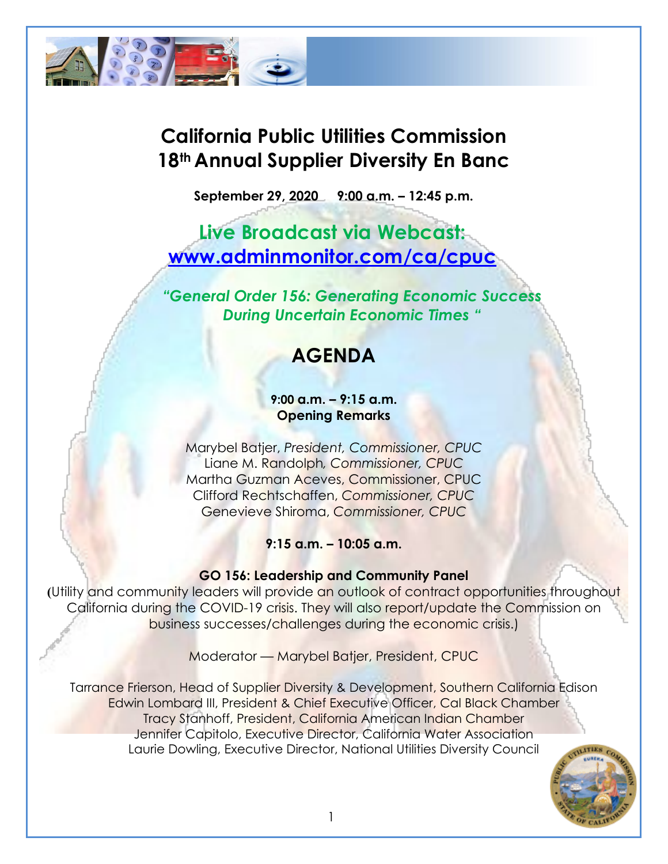

# **California Public Utilities Commission 18th Annual Supplier Diversity En Banc**

**September 29, 2020 9:00 a.m. – 12:45 p.m.**

**Live Broadcast via Webcast: [www.adminmonitor.com/ca/cpuc](http://www.adminmonitor.com/ca/cpuc)**

*"General Order 156: Generating Economic Success During Uncertain Economic Times "*

# **AGENDA**

#### **9:00 a.m. – 9:15 a.m. Opening Remarks**

Marybel Batjer, *President, Commissioner, CPUC*  Liane M. Randolph*, Commissioner, CPUC*  Martha Guzman Aceves, Commissioner, CPUC Clifford Rechtschaffen, *Commissioner, CPUC*  Genevieve Shiroma, *Commissioner, CPUC*

**9:15 a.m. – 10:05 a.m.**

### **GO 156: Leadership and Community Panel**

**(**Utility and community leaders will provide an outlook of contract opportunities throughout California during the COVID-19 crisis. They will also report/update the Commission on business successes/challenges during the economic crisis.)

Moderator — Marybel Batjer, President, CPUC

Tarrance Frierson, Head of Supplier Diversity & Development, Southern California Edison Edwin Lombard III, President & Chief Executive Officer, Cal Black Chamber Tracy Stanhoff, President, California American Indian Chamber Jennifer Capitolo, Executive Director, California Water Association Laurie Dowling, Executive Director, National Utilities Diversity Council

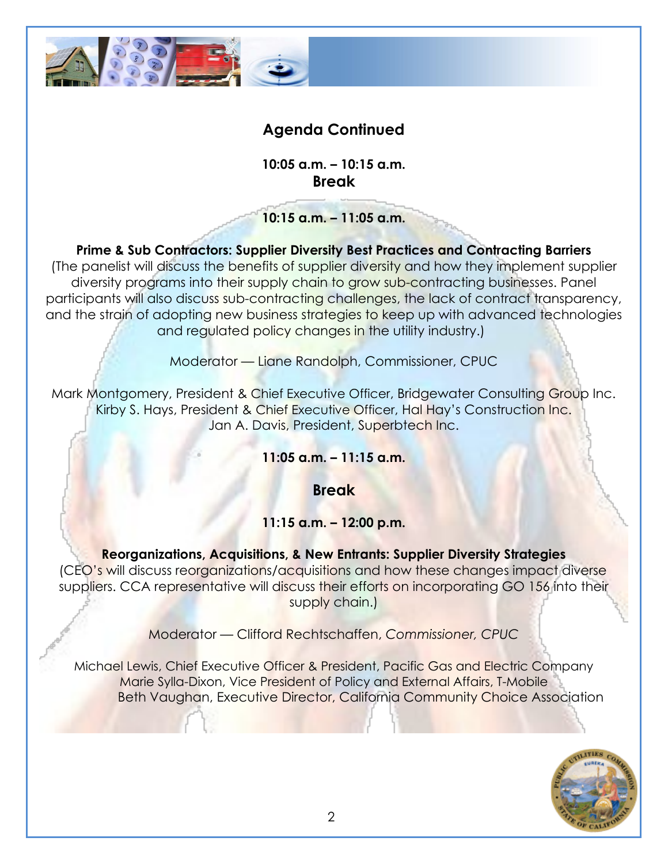

## **Agenda Continued**

**10:05 a.m. – 10:15 a.m. Break**

**10:15 a.m. – 11:05 a.m.**

**Prime & Sub Contractors: Supplier Diversity Best Practices and Contracting Barriers** (The panelist will discuss the benefits of supplier diversity and how they implement supplier diversity programs into their supply chain to grow sub-contracting businesses. Panel participants will also discuss sub-contracting challenges, the lack of contract transparency, and the strain of adopting new business strategies to keep up with advanced technologies and regulated policy changes in the utility industry.)

Moderator — Liane Randolph, Commissioner, CPUC

Mark Montgomery, President & Chief Executive Officer, Bridgewater Consulting Group Inc. Kirby S. Hays, President & Chief Executive Officer, Hal Hay's Construction Inc. Jan A. Davis, President, Superbtech Inc.

**11:05 a.m. – 11:15 a.m.**

**Break**

### **11:15 a.m. – 12:00 p.m.**

**Reorganizations, Acquisitions, & New Entrants: Supplier Diversity Strategies**  (CEO's will discuss reorganizations/acquisitions and how these changes impact diverse suppliers. CCA representative will discuss their efforts on incorporating GO 156 into their supply chain.)

Moderator — Clifford Rechtschaffen, *Commissioner, CPUC*

Michael Lewis, Chief Executive Officer & President, Pacific Gas and Electric Company Marie Sylla-Dixon, Vice President of Policy and External Affairs, T-Mobile Beth Vaughan, Executive Director, California Community Choice Association